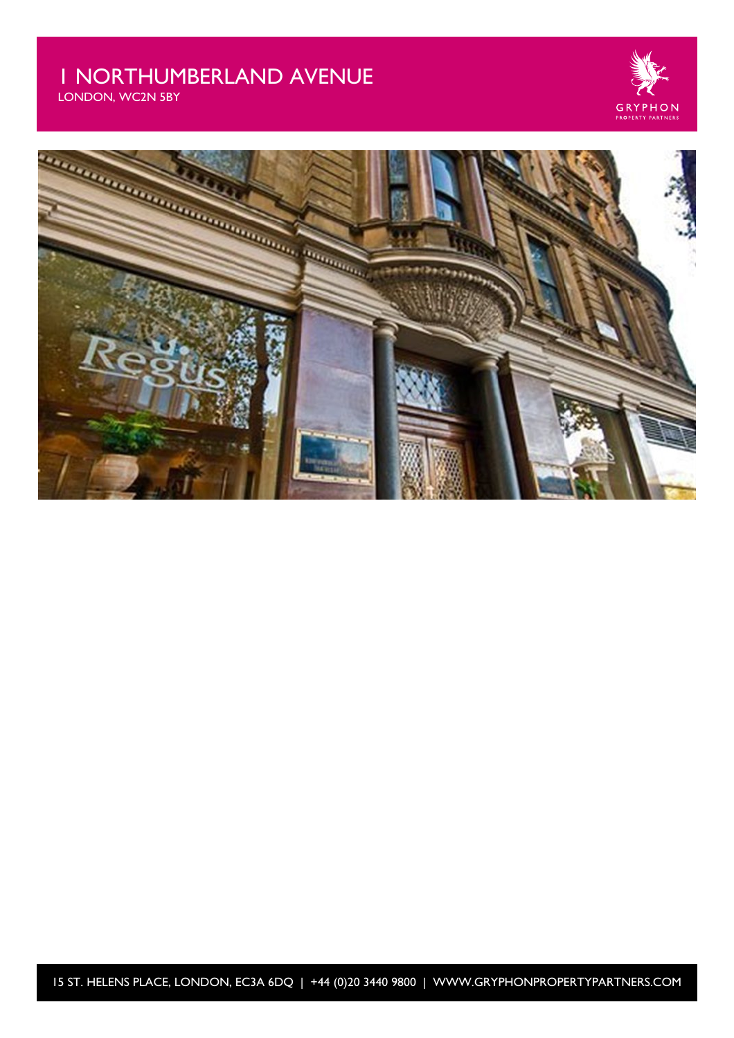# 1 NORTHUMBERLAND AVENUE

LONDON, WC2N 5BY





15 ST. HELENS PLACE, LONDON, EC3A 6DQ | +44 (0)20 3440 9800 | WWW.GRYPHONPROPERTYPARTNERS.COM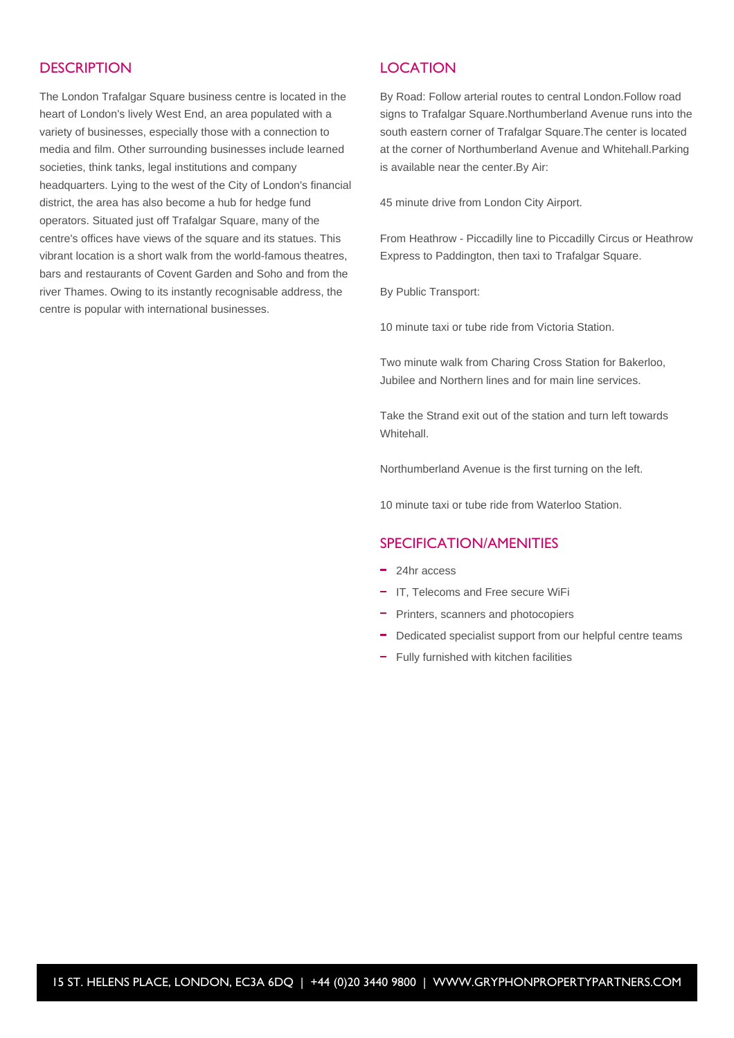### **DESCRIPTION**

The London Trafalgar Square business centre is located in the heart of London's lively West End, an area populated with a variety of businesses, especially those with a connection to media and film. Other surrounding businesses include learned societies, think tanks, legal institutions and company headquarters. Lying to the west of the City of London's financial district, the area has also become a hub for hedge fund operators. Situated just off Trafalgar Square, many of the centre's offices have views of the square and its statues. This vibrant location is a short walk from the world-famous theatres, bars and restaurants of Covent Garden and Soho and from the river Thames. Owing to its instantly recognisable address, the centre is popular with international businesses.

### **LOCATION**

By Road: Follow arterial routes to central London.Follow road signs to Trafalgar Square.Northumberland Avenue runs into the south eastern corner of Trafalgar Square.The center is located at the corner of Northumberland Avenue and Whitehall.Parking is available near the center.By Air:

45 minute drive from London City Airport.

From Heathrow - Piccadilly line to Piccadilly Circus or Heathrow Express to Paddington, then taxi to Trafalgar Square.

By Public Transport:

10 minute taxi or tube ride from Victoria Station.

Two minute walk from Charing Cross Station for Bakerloo, Jubilee and Northern lines and for main line services.

Take the Strand exit out of the station and turn left towards Whitehall.

Northumberland Avenue is the first turning on the left.

10 minute taxi or tube ride from Waterloo Station.

### SPECIFICATION/AMENITIES

- <sup>-</sup> 24hr access
- IT. Telecoms and Free secure WiFi
- Printers, scanners and photocopiers
- Dedicated specialist support from our helpful centre teams
- Fully furnished with kitchen facilities